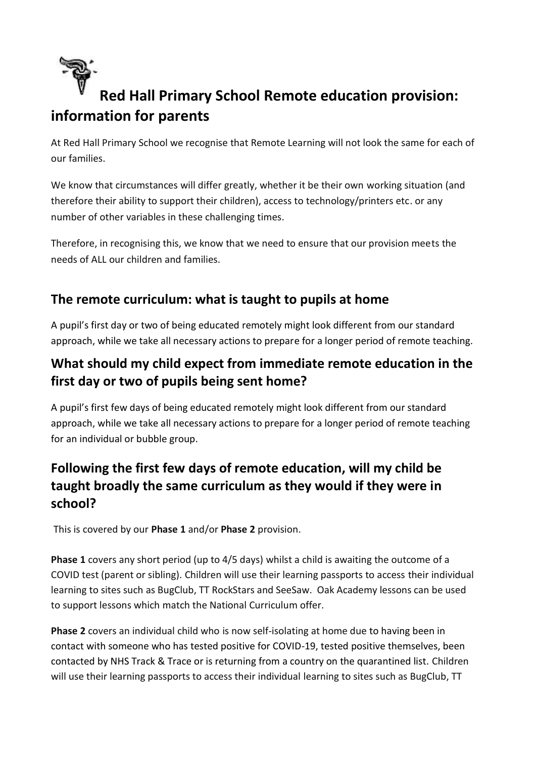

# **Red Hall Primary School Remote education provision: information for parents**

At Red Hall Primary School we recognise that Remote Learning will not look the same for each of our families.

We know that circumstances will differ greatly, whether it be their own working situation (and therefore their ability to support their children), access to technology/printers etc. or any number of other variables in these challenging times.

Therefore, in recognising this, we know that we need to ensure that our provision meets the needs of ALL our children and families.

## **The remote curriculum: what is taught to pupils at home**

A pupil's first day or two of being educated remotely might look different from our standard approach, while we take all necessary actions to prepare for a longer period of remote teaching.

# **What should my child expect from immediate remote education in the first day or two of pupils being sent home?**

A pupil's first few days of being educated remotely might look different from our standard approach, while we take all necessary actions to prepare for a longer period of remote teaching for an individual or bubble group.

# **Following the first few days of remote education, will my child be taught broadly the same curriculum as they would if they were in school?**

This is covered by our **Phase 1** and/or **Phase 2** provision.

**Phase 1** covers any short period (up to 4/5 days) whilst a child is awaiting the outcome of a COVID test (parent or sibling). Children will use their learning passports to access their individual learning to sites such as BugClub, TT RockStars and SeeSaw. Oak Academy lessons can be used to support lessons which match the National Curriculum offer.

**Phase 2** covers an individual child who is now self-isolating at home due to having been in contact with someone who has tested positive for COVID-19, tested positive themselves, been contacted by NHS Track & Trace or is returning from a country on the quarantined list. Children will use their learning passports to access their individual learning to sites such as BugClub, TT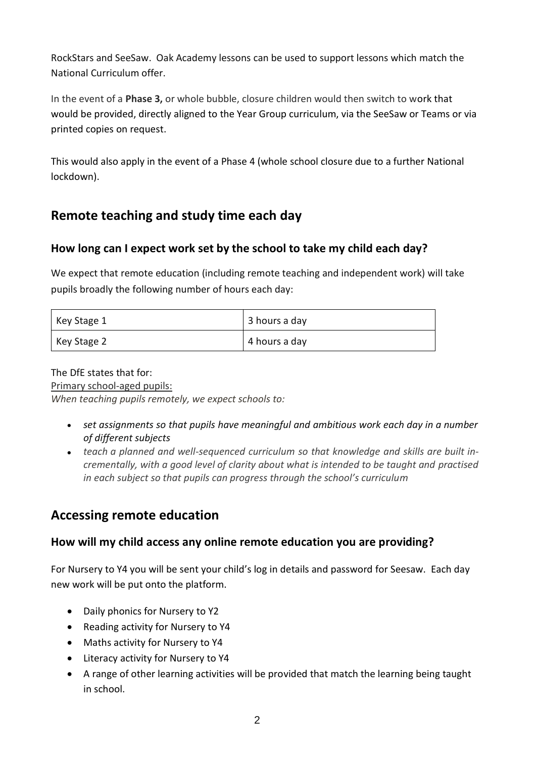RockStars and SeeSaw. Oak Academy lessons can be used to support lessons which match the National Curriculum offer.

In the event of a **Phase 3,** or whole bubble, closure children would then switch to work that would be provided, directly aligned to the Year Group curriculum, via the SeeSaw or Teams or via printed copies on request.

This would also apply in the event of a Phase 4 (whole school closure due to a further National lockdown).

## **Remote teaching and study time each day**

#### **How long can I expect work set by the school to take my child each day?**

We expect that remote education (including remote teaching and independent work) will take pupils broadly the following number of hours each day:

| Key Stage 1 | 3 hours a day |
|-------------|---------------|
| Key Stage 2 | 4 hours a day |

#### The DfE states that for: Primary school-aged pupils: *When teaching pupils remotely, we expect schools to:*

- - *set assignments so that pupils have meaningful and ambitious work each day in a number of different subjects*
	- teach a planned and well-sequenced curriculum so that knowledge and skills are built in*crementally, with a good level of clarity about what is intended to be taught and practised in each subject so that pupils can progress through the school's curriculum*

### **Accessing remote education**

#### **How will my child access any online remote education you are providing?**

For Nursery to Y4 you will be sent your child's log in details and password for Seesaw. Each day new work will be put onto the platform.

- Daily phonics for Nursery to Y2
- Reading activity for Nursery to Y4
- Maths activity for Nursery to Y4
- Literacy activity for Nursery to Y4
- A range of other learning activities will be provided that match the learning being taught in school.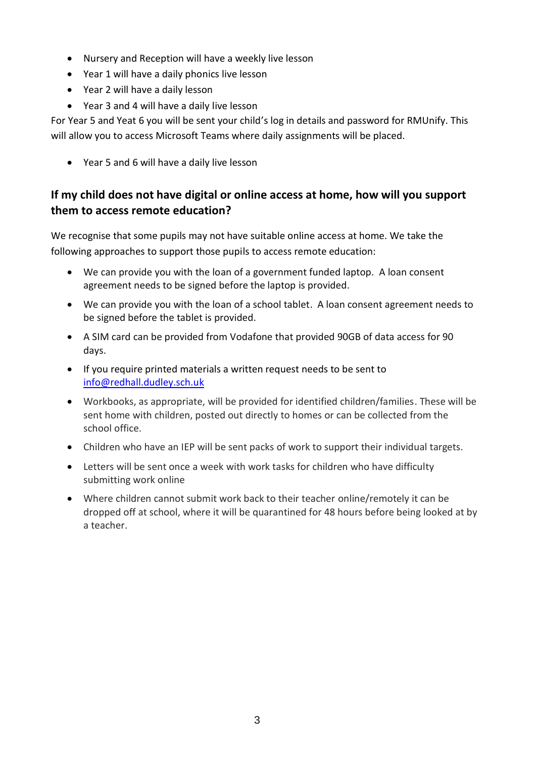- Nursery and Reception will have a weekly live lesson
- Year 1 will have a daily phonics live lesson
- Year 2 will have a daily lesson
- Year 3 and 4 will have a daily live lesson

For Year 5 and Yeat 6 you will be sent your child's log in details and password for RMUnify. This will allow you to access Microsoft Teams where daily assignments will be placed.

• Year 5 and 6 will have a daily live lesson

#### **If my child does not have digital or online access at home, how will you support them to access remote education?**

We recognise that some pupils may not have suitable online access at home. We take the following approaches to support those pupils to access remote education:

- We can provide you with the loan of a government funded laptop. A loan consent agreement needs to be signed before the laptop is provided.
- We can provide you with the loan of a school tablet. A loan consent agreement needs to be signed before the tablet is provided.
- A SIM card can be provided from Vodafone that provided 90GB of data access for 90 days.
- If you require printed materials a written request needs to be sent to [info@redhall.dudley.sch.uk](mailto:info@redhall.dudley.sch.uk)
- Workbooks, as appropriate, will be provided for identified children/families. These will be sent home with children, posted out directly to homes or can be collected from the school office.
- Children who have an IEP will be sent packs of work to support their individual targets.
- Letters will be sent once a week with work tasks for children who have difficulty submitting work online
- Where children cannot submit work back to their teacher online/remotely it can be dropped off at school, where it will be quarantined for 48 hours before being looked at by a teacher.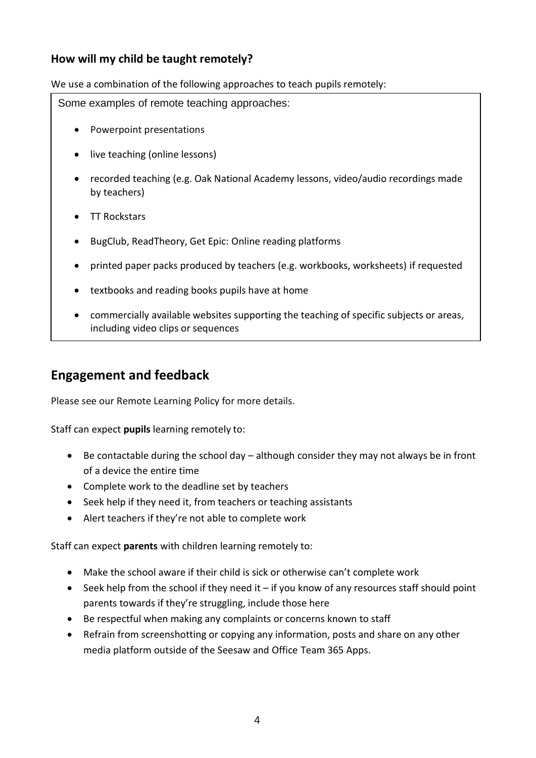#### **How will my child be taught remotely?**

We use a combination of the following approaches to teach pupils remotely:

Some examples of remote teaching approaches:

- Powerpoint presentations
- live teaching (online lessons)
- recorded teaching (e.g. Oak National Academy lessons, video/audio recordings made by teachers)
- TT Rockstars
- BugClub, ReadTheory, Get Epic: Online reading platforms
- printed paper packs produced by teachers (e.g. workbooks, worksheets) if requested
- textbooks and reading books pupils have at home
- commercially available websites supporting the teaching of specific subjects or areas, including video clips or sequences

#### **Engagement and feedback**

Please see our Remote Learning Policy for more details.

Staff can expect **pupils** learning remotely to:

- Be contactable during the school day although consider they may not always be in front of a device the entire time
- Complete work to the deadline set by teachers
- Seek help if they need it, from teachers or teaching assistants
- Alert teachers if they're not able to complete work

Staff can expect **parents** with children learning remotely to:

- Make the school aware if their child is sick or otherwise can't complete work
- Seek help from the school if they need it  $-$  if you know of any resources staff should point parents towards if they're struggling, include those here
- Be respectful when making any complaints or concerns known to staff
- Refrain from screenshotting or copying any information, posts and share on any other media platform outside of the Seesaw and Office Team 365 Apps.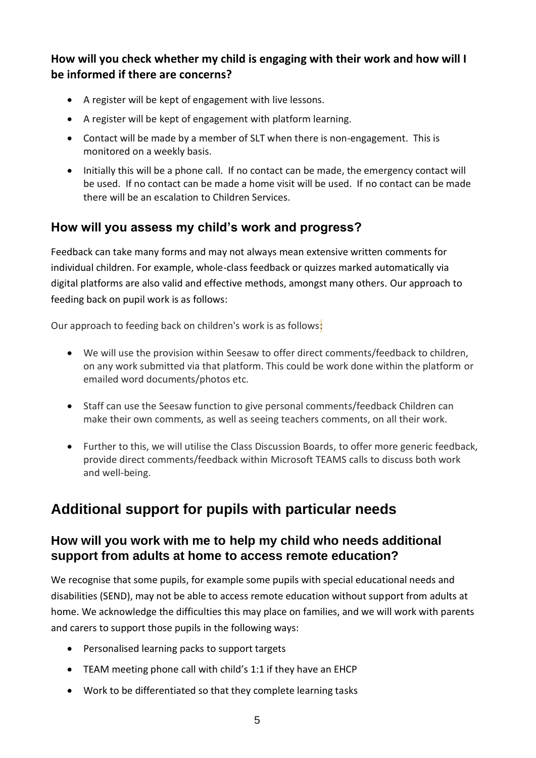**How will you check whether my child is engaging with their work and how will I be informed if there are concerns?**

- A register will be kept of engagement with live lessons.
- A register will be kept of engagement with platform learning.
- Contact will be made by a member of SLT when there is non-engagement. This is monitored on a weekly basis.
- Initially this will be a phone call. If no contact can be made, the emergency contact will be used. If no contact can be made a home visit will be used. If no contact can be made there will be an escalation to Children Services.

#### **How will you assess my child's work and progress?**

Feedback can take many forms and may not always mean extensive written comments for individual children. For example, whole-class feedback or quizzes marked automatically via digital platforms are also valid and effective methods, amongst many others. Our approach to feeding back on pupil work is as follows:

Our approach to feeding back on children's work is as follows:

- We will use the provision within Seesaw to offer direct comments/feedback to children, on any work submitted via that platform. This could be work done within the platform or emailed word documents/photos etc.
- Staff can use the Seesaw function to give personal comments/feedback Children can make their own comments, as well as seeing teachers comments, on all their work.
- Further to this, we will utilise the Class Discussion Boards, to offer more generic feedback, provide direct comments/feedback within Microsoft TEAMS calls to discuss both work and well-being.

# **Additional support for pupils with particular needs**

#### **How will you work with me to help my child who needs additional support from adults at home to access remote education?**

We recognise that some pupils, for example some pupils with special educational needs and disabilities (SEND), may not be able to access remote education without support from adults at home. We acknowledge the difficulties this may place on families, and we will work with parents and carers to support those pupils in the following ways:

- Personalised learning packs to support targets
- TEAM meeting phone call with child's 1:1 if they have an EHCP
- Work to be differentiated so that they complete learning tasks